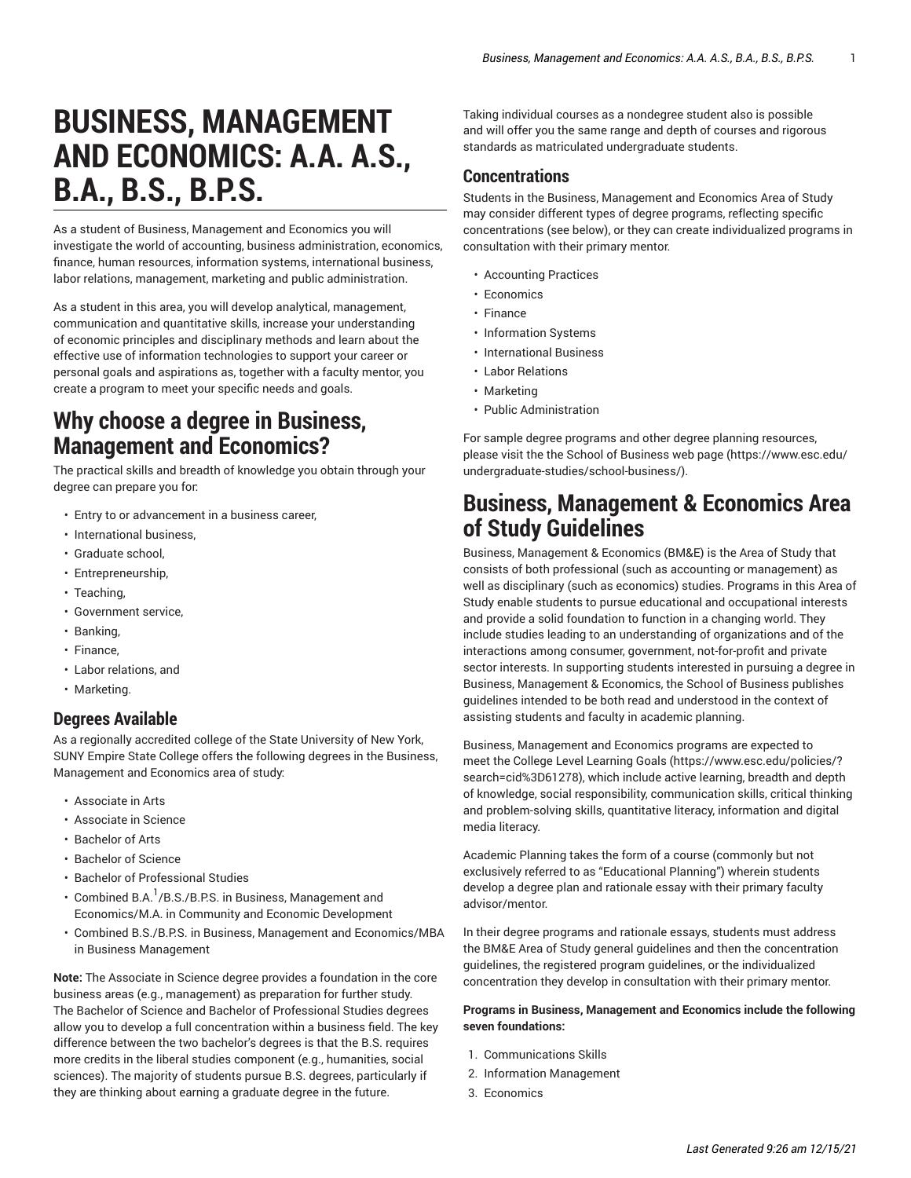# **BUSINESS, MANAGEMENT AND ECONOMICS: A.A. A.S., B.A., B.S., B.P.S.**

As a student of Business, Management and Economics you will investigate the world of accounting, business administration, economics, finance, human resources, information systems, international business, labor relations, management, marketing and public administration.

As a student in this area, you will develop analytical, management, communication and quantitative skills, increase your understanding of economic principles and disciplinary methods and learn about the effective use of information technologies to support your career or personal goals and aspirations as, together with a faculty mentor, you create a program to meet your specific needs and goals.

# **Why choose a degree in Business, Management and Economics?**

The practical skills and breadth of knowledge you obtain through your degree can prepare you for:

- Entry to or advancement in a business career,
- International business,
- Graduate school,
- Entrepreneurship,
- Teaching,
- Government service,
- Banking,
- Finance,
- Labor relations, and
- Marketing.

#### **Degrees Available**

As a regionally accredited college of the State University of New York, SUNY Empire State College offers the following degrees in the Business, Management and Economics area of study:

- Associate in Arts
- Associate in Science
- Bachelor of Arts
- Bachelor of Science
- Bachelor of Professional Studies
- Combined B.A. $^1$ /B.S./B.P.S. in Business, Management and Economics/M.A. in Community and Economic Development
- Combined B.S./B.P.S. in Business, Management and Economics/MBA in Business Management

**Note:** The Associate in Science degree provides a foundation in the core business areas (e.g., management) as preparation for further study. The Bachelor of Science and Bachelor of Professional Studies degrees allow you to develop a full concentration within a business field. The key difference between the two bachelor's degrees is that the B.S. requires more credits in the liberal studies component (e.g., humanities, social sciences). The majority of students pursue B.S. degrees, particularly if they are thinking about earning a graduate degree in the future.

Taking individual courses as a nondegree student also is possible and will offer you the same range and depth of courses and rigorous standards as matriculated undergraduate students.

### **Concentrations**

Students in the Business, Management and Economics Area of Study may consider different types of degree programs, reflecting specific concentrations (see below), or they can create individualized programs in consultation with their primary mentor.

- Accounting Practices
- Economics
- Finance
- Information Systems
- International Business
- Labor Relations
- Marketing
- Public Administration

For sample degree programs and other degree planning resources, please visit the the [School of Business web page \(https://www.esc.edu/](https://www.esc.edu/undergraduate-studies/school-business/) [undergraduate-studies/school-business/\)](https://www.esc.edu/undergraduate-studies/school-business/).

# **Business, Management & Economics Area of Study Guidelines**

Business, Management & Economics (BM&E) is the Area of Study that consists of both professional (such as accounting or management) as well as disciplinary (such as economics) studies. Programs in this Area of Study enable students to pursue educational and occupational interests and provide a solid foundation to function in a changing world. They include studies leading to an understanding of organizations and of the interactions among consumer, government, not-for-profit and private sector interests. In supporting students interested in pursuing a degree in Business, Management & Economics, the School of Business publishes guidelines intended to be both read and understood in the context of assisting students and faculty in academic planning.

Business, Management and Economics programs are expected to meet the College Level [Learning](https://www.esc.edu/policies/?search=cid%3D61278) Goals ([https://www.esc.edu/policies/?](https://www.esc.edu/policies/?search=cid%3D61278) [search=cid%3D61278](https://www.esc.edu/policies/?search=cid%3D61278)), which include active learning, breadth and depth of knowledge, social responsibility, communication skills, critical thinking and problem-solving skills, quantitative literacy, information and digital media literacy.

Academic Planning takes the form of a course (commonly but not exclusively referred to as "Educational Planning") wherein students develop a degree plan and rationale essay with their primary faculty advisor/mentor.

In their degree programs and rationale essays, students must address the BM&E Area of Study general guidelines and then the concentration guidelines, the registered program guidelines, or the individualized concentration they develop in consultation with their primary mentor.

#### **Programs in Business, Management and Economics include the following seven foundations:**

- 1. Communications Skills
- 2. Information Management
- 3. Economics